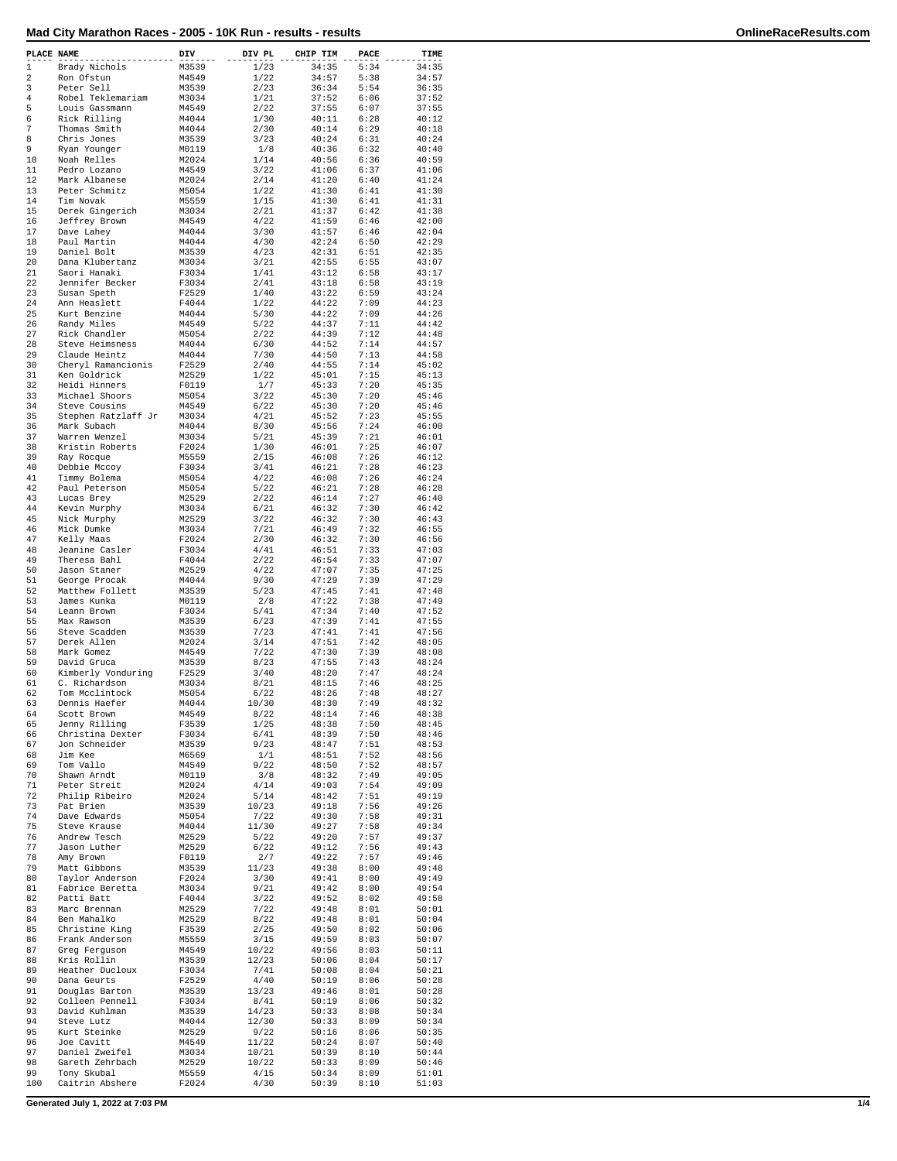| PLACE NAME     |                                  | DIV            | DIV PL        | CHIP TIM       | PACE         | TIME           |
|----------------|----------------------------------|----------------|---------------|----------------|--------------|----------------|
| 1              | Brady Nichols                    | M3539          | 1/23          | 34:35          | 5:34         | 34:35          |
| 2              | Ron Ofstun                       | M4549          | 1/22          | 34:57          | 5:38         | 34:57          |
| 3              | Peter Sell                       | M3539          | 2/23          | 36:34          | 5:54         | 36:35          |
| $\overline{4}$ | Robel Teklemariam                | M3034          | 1/21          | 37:52          | 6:06         | 37:52          |
| 5<br>6         | Louis Gassmann<br>Rick Rilling   | M4549<br>M4044 | 2/22<br>1/30  | 37:55<br>40:11 | 6:07<br>6:28 | 37:55<br>40:12 |
| 7              | Thomas Smith                     | M4044          | 2/30          | 40:14          | 6:29         | 40:18          |
| 8              | Chris Jones                      | M3539          | 3/23          | 40:24          | 6:31         | 40:24          |
| 9              | Ryan Younger                     | M0119          | 1/8           | 40:36          | 6:32         | 40:40          |
| 10             | Noah Relles                      | M2024          | 1/14          | 40:56          | 6:36         | 40:59          |
| 11             | Pedro Lozano                     | M4549          | 3/22          | 41:06          | 6:37         | 41:06          |
| 12             | Mark Albanese                    | M2024          | 2/14          | 41:20          | 6:40         | 41:24          |
| 13             | Peter Schmitz                    | M5054          | 1/22          | 41:30          | 6:41         | 41:30          |
| 14             | Tim Novak                        | M5559          | 1/15          | 41:30          | 6:41         | 41:31          |
| 15             | Derek Gingerich                  | M3034          | 2/21          | 41:37          | 6:42         | 41:38          |
| 16             | Jeffrey Brown                    | M4549          | 4/22          | 41:59          | 6:46         | 42:00          |
| 17             | Dave Lahev                       | M4044          | 3/30          | 41:57          | 6:46         | 42:04          |
| 18             | Paul Martin                      | M4044          | 4/30<br>4/23  | 42:24          | 6:50         | 42:29          |
| 19<br>20       | Daniel Bolt<br>Dana Klubertanz   | M3539<br>M3034 | 3/21          | 42:31<br>42:55 | 6:51<br>6:55 | 42:35<br>43:07 |
| 21             | Saori Hanaki                     | F3034          | 1/41          | 43:12          | 6:58         | 43:17          |
| 22             | Jennifer Becker                  | F3034          | 2/41          | 43:18          | 6:58         | 43:19          |
| 23             | Susan Speth                      | F2529          | 1/40          | 43:22          | 6:59         | 43:24          |
| 24             | Ann Heaslett                     | F4044          | 1/22          | 44:22          | 7:09         | 44:23          |
| 25             | Kurt Benzine                     | M4044          | 5/30          | 44:22          | 7:09         | 44:26          |
| 26             | Randy Miles                      | M4549          | 5/22          | 44:37          | 7:11         | 44:42          |
| 27             | Rick Chandler                    | M5054          | 2/22          | 44:39          | 7:12         | 44:48          |
| 28             | Steve Heimsness                  | M4044          | 6/30          | 44:52          | 7:14         | 44:57          |
| 29             | Claude Heintz                    | M4044          | 7/30          | 44:50          | 7:13         | 44:58          |
| 30             | Cheryl Ramancionis               | F2529          | 2/40          | 44:55          | 7:14         | 45:02          |
| 31             | Ken Goldrick                     | M2529          | 1/22          | 45:01          | 7:15         | 45:13          |
| 32             | Heidi Hinners                    | F0119          | 1/7           | 45:33          | 7:20         | 45:35          |
| 33             | Michael Shoors                   | M5054          | 3/22          | 45:30          | 7:20         | 45:46          |
| 34             | Steve Cousins                    | M4549          | 6/22          | 45:30          | 7:20         | 45:46          |
| 35             | Stephen Ratzlaff Jr              | M3034          | 4/21          | 45:52          | 7:23         | 45:55          |
| 36<br>37       | Mark Subach                      | M4044<br>M3034 | 8/30<br>5/21  | 45:56<br>45:39 | 7:24<br>7:21 | 46:00<br>46:01 |
| 38             | Warren Wenzel<br>Kristin Roberts | F2024          | 1/30          | 46:01          | 7:25         | 46:07          |
| 39             | Ray Rocque                       | M5559          | 2/15          | 46:08          | 7:26         | 46:12          |
| 40             | Debbie Mccoy                     | F3034          | 3/41          | 46:21          | 7:28         | 46:23          |
| 41             | Timmy Bolema                     | M5054          | 4/22          | 46:08          | 7:26         | 46:24          |
| 42             | Paul Peterson                    | M5054          | 5/22          | 46:21          | 7:28         | 46:28          |
| 43             | Lucas Brey                       | M2529          | 2/22          | 46:14          | 7:27         | 46:40          |
| 44             | Kevin Murphy                     | M3034          | 6/21          | 46:32          | 7:30         | 46:42          |
| 45             | Nick Murphy                      | M2529          | 3/22          | 46:32          | 7:30         | 46:43          |
| 46             | Mick Dumke                       | M3034          | 7/21          | 46:49          | 7:32         | 46:55          |
| 47             | Kelly Maas                       | F2024          | 2/30          | 46:32          | 7:30         | 46:56          |
| 48             | Jeanine Casler                   | F3034          | 4/41          | 46:51          | 7:33         | 47:03          |
| 49             | Theresa Bahl                     | F4044          | 2/22          | 46:54          | 7:33         | 47:07          |
| 50             | Jason Staner                     | M2529          | 4/22          | 47:07          | 7:35         | 47:25          |
| 51             | George Procak                    | M4044          | 9/30          | 47:29          | 7:39         | 47:29          |
| 52             | Matthew Follett                  | M3539          | 5/23          | 47:45          | 7:41         | 47:48          |
| 53             | James Kunka                      | M0119          | 2/8           | 47:22          | 7:38         | 47:49          |
| 54             | Leann Brown                      | F3034          | 5/41          | 47:34          | 7:40         | 47:52          |
| 55             | Max Rawson                       | M3539          | 6/23          | 47:39<br>47:41 | 7:41         | 47:55          |
| 56<br>57       | Steve Scadden<br>Derek Allen     | M3539<br>M2024 | 7/23<br>3/14  | 47:51          | 7:41<br>7:42 | 47:56<br>48:05 |
| 58             | Mark Gomez                       | M4549          | 7/22          | 47:30          | 7:39         | 48:08          |
| 59             | David Gruca                      | M3539          | 8/23          | 47:55          | 7:43         | 48:24          |
| 60             | Kimberly Vonduring               | F2529          | 3/40          | 48:20          | 7:47         | 48:24          |
| 61             | C. Richardson                    | M3034          | 8/21          | 48:15          | 7:46         | 48:25          |
| 62             | Tom Mcclintock                   | M5054          | 6/22          | 48:26          | 7:48         | 48:27          |
| 63             | Dennis Haefer                    | M4044          | 10/30         | 48:30          | 7:49         | 48:32          |
| 64             | Scott Brown                      | M4549          | 8/22          | 48:14          | 7:46         | 48:38          |
| 65             | Jenny Rilling                    | F3539          | 1/25          | 48:38          | 7:50         | 48:45          |
| 66             | Christina Dexter                 | F3034          | 6/41          | 48:39          | 7:50         | 48:46          |
| 67             | Jon Schneider                    | M3539          | 9/23          | 48:47          | 7:51         | 48:53          |
| 68             | Jim Kee                          | M6569          | 1/1           | 48:51          | 7:52         | 48:56          |
| 69             | Tom Vallo                        | M4549          | 9/22          | 48:50          | 7:52         | 48:57          |
| 70<br>71       | Shawn Arndt<br>Peter Streit      | M0119<br>M2024 | 3/8<br>4/14   | 48:32<br>49:03 | 7:49<br>7:54 | 49:05<br>49:09 |
| 72             | Philip Ribeiro                   |                |               | 48:42          |              | 49:19          |
| 73             | Pat Brien                        | M2024<br>M3539 | 5/14<br>10/23 | 49:18          | 7:51<br>7:56 | 49:26          |
| 74             | Dave Edwards                     | M5054          | 7/22          | 49:30          | 7:58         | 49:31          |
| 75             | Steve Krause                     | M4044          | 11/30         | 49:27          | 7:58         | 49:34          |
| 76             | Andrew Tesch                     | M2529          | 5/22          | 49:20          | 7:57         | 49:37          |
| 77             | Jason Luther                     | M2529          | 6/22          | 49:12          | 7:56         | 49:43          |
| 78             | Amy Brown                        | F0119          | 2/7           | 49:22          | 7:57         | 49:46          |
| 79             | Matt Gibbons                     | M3539          | 11/23         | 49:38          | 8:00         | 49:48          |
| 80             | Taylor Anderson                  | F2024          | 3/30          | 49:41          | 8:00         | 49:49          |
| 81             | Fabrice Beretta                  | M3034          | 9/21          | 49:42          | 8:00         | 49:54          |
| 82             | Patti Batt                       | F4044          | 3/22          | 49:52          | 8:02         | 49:58          |
| 83             | Marc Brennan                     | M2529          | 7/22          | 49:48          | 8:01         | 50:01          |
| 84             | Ben Mahalko                      | M2529          | 8/22          | 49:48          | 8:01         | 50:04          |
| 85             | Christine King                   | F3539          | 2/25          | 49:50          | 8:02         | 50:06          |
| 86             | Frank Anderson                   | M5559          | 3/15          | 49:59          | 8:03         | 50:07          |
| 87             | Greg Ferguson                    | M4549          | 10/22         | 49:56          | 8:03         | 50:11          |
| 88             | Kris Rollin                      | M3539          | 12/23         | 50:06          | 8:04         | 50:17          |
| 89             | Heather Ducloux                  | F3034          | 7/41<br>4/40  | 50:08          | 8:04         | 50:21          |
| 90<br>91       | Dana Geurts<br>Douglas Barton    | F2529<br>M3539 | 13/23         | 50:19<br>49:46 | 8:06<br>8:01 | 50:28<br>50:28 |
| 92             | Colleen Pennell                  | F3034          | 8/41          | 50:19          | 8:06         | 50:32          |
| 93             | David Kuhlman                    | M3539          | 14/23         | 50:33          | 8:08         | 50:34          |
| 94             | Steve Lutz                       | M4044          | 12/30         | 50:33          | 8:09         | 50:34          |
| 95             | Kurt Steinke                     | M2529          | 9/22          | 50:16          | 8:06         | 50:35          |
| 96             | Joe Cavitt                       | M4549          | 11/22         | 50:24          | 8:07         | 50:40          |
| 97             | Daniel Zweifel                   | M3034          | 10/21         | 50:39          | 8:10         | 50:44          |
| 98             | Gareth Zehrbach                  | M2529          | 10/22         | 50:33          | 8:09         | 50:46          |
| 99             | Tony Skubal                      | M5559          | 4/15          | 50:34          | 8:09         | 51:01          |
| 100            | Caitrin Abshere                  | F2024          | 4/30          | 50:39          | 8:10         | 51:03          |
|                |                                  |                |               |                |              |                |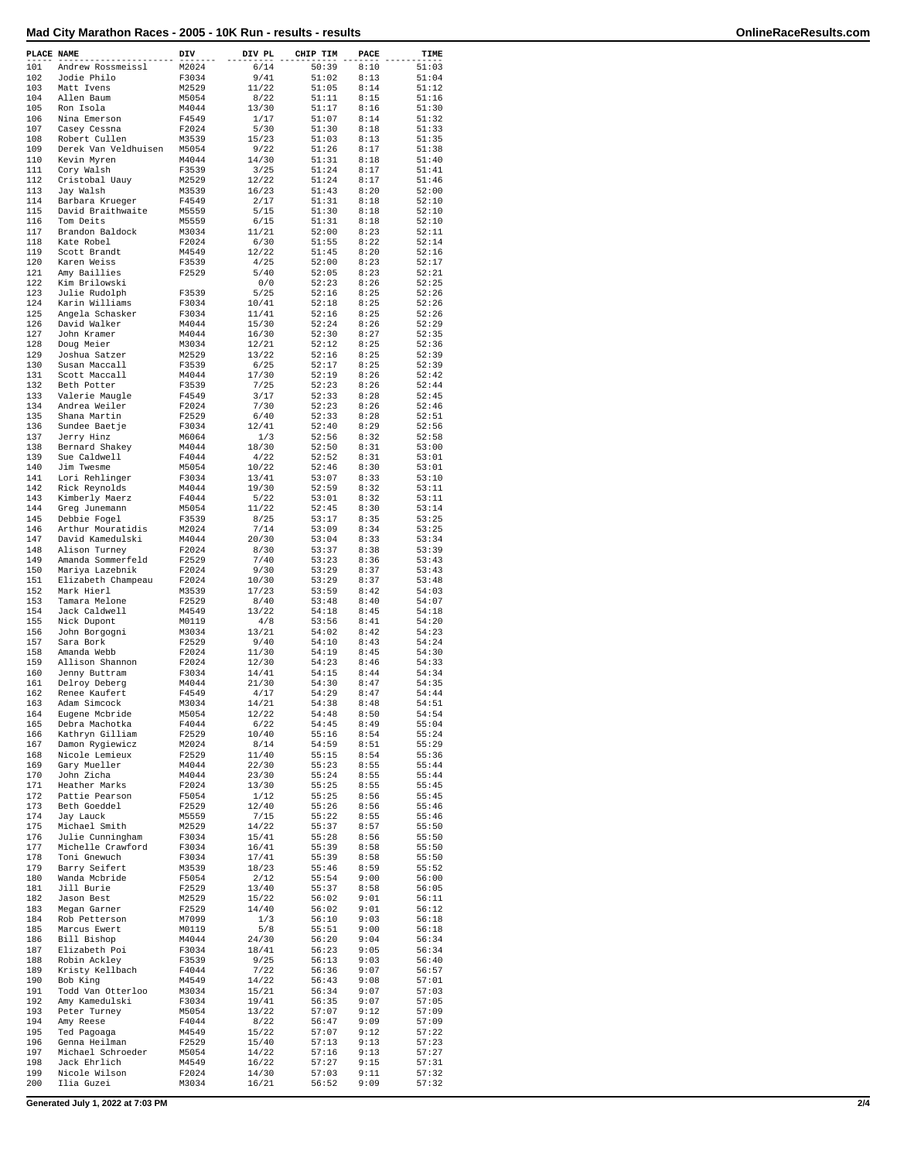| PLACE NAME |                                       | DIV            | DIV PL         | CHIP TIM       | PACE         | TIME           |
|------------|---------------------------------------|----------------|----------------|----------------|--------------|----------------|
| 101<br>102 | Andrew Rossmeissl<br>Jodie Philo      | M2024<br>F3034 | 6/14<br>9/41   | 50:39<br>51:02 | 8:10<br>8:13 | 51:03<br>51:04 |
| 103        | Matt Ivens                            | M2529          | 11/22          | 51:05          | 8:14         | 51:12          |
| 104        | Allen Baum                            | M5054          | 8/22           | 51:11          | 8:15         | 51:16          |
| 105<br>106 | Ron Isola<br>Nina Emerson             | M4044<br>F4549 | 13/30<br>1/17  | 51:17<br>51:07 | 8:16<br>8:14 | 51:30<br>51:32 |
| 107        | Casey Cessna                          | F2024          | 5/30           | 51:30          | 8:18         | 51:33          |
| 108<br>109 | Robert Cullen<br>Derek Van Veldhuisen | M3539<br>M5054 | 15/23<br>9/22  | 51:03<br>51:26 | 8:13<br>8:17 | 51:35<br>51:38 |
| 110        | Kevin Myren                           | M4044          | 14/30          | 51:31          | 8:18         | 51:40          |
| 111        | Cory Walsh                            | F3539          | 3/25           | 51:24          | 8:17         | 51:41          |
| 112<br>113 | Cristobal Uauy<br>Jay Walsh           | M2529<br>M3539 | 12/22<br>16/23 | 51:24<br>51:43 | 8:17<br>8:20 | 51:46<br>52:00 |
| 114        | Barbara Krueger                       | F4549          | 2/17           | 51:31          | 8:18         | 52:10          |
| 115        | David Braithwaite                     | M5559          | 5/15           | 51:30          | 8:18         | 52:10          |
| 116<br>117 | Tom Deits<br>Brandon Baldock          | M5559<br>M3034 | 6/15<br>11/21  | 51:31<br>52:00 | 8:18<br>8:23 | 52:10<br>52:11 |
| 118        | Kate Robel                            | F2024          | 6/30           | 51:55          | 8:22         | 52:14          |
| 119        | Scott Brandt                          | M4549          | 12/22          | 51:45          | 8:20         | 52:16          |
| 120<br>121 | Karen Weiss<br>Amy Baillies           | F3539<br>F2529 | 4/25<br>5/40   | 52:00<br>52:05 | 8:23<br>8:23 | 52:17<br>52:21 |
| 122        | Kim Brilowski                         |                | 0/0            | 52:23          | 8:26         | 52:25          |
| 123        | Julie Rudolph                         | F3539          | 5/25           | 52:16          | 8:25         | 52:26          |
| 124        | Karin Williams                        | F3034<br>F3034 | 10/41<br>11/41 | 52:18<br>52:16 | 8:25<br>8:25 | 52:26<br>52:26 |
| 125<br>126 | Angela Schasker<br>David Walker       | M4044          | 15/30          | 52:24          | 8:26         | 52:29          |
| 127        | John Kramer                           | M4044          | 16/30          | 52:30          | 8:27         | 52:35          |
| 128        | Doug Meier                            | M3034          | 12/21          | 52:12          | 8:25         | 52:36          |
| 129<br>130 | Joshua Satzer<br>Susan Maccall        | M2529<br>F3539 | 13/22<br>6/25  | 52:16<br>52:17 | 8:25<br>8:25 | 52:39<br>52:39 |
| 131        | Scott Maccall                         | M4044          | 17/30          | 52:19          | 8:26         | 52:42          |
| 132        | Beth Potter                           | F3539          | 7/25           | 52:23          | 8:26         | 52:44          |
| 133        | Valerie Maugle                        | F4549          | 3/17           | 52:33          | 8:28         | 52:45          |
| 134<br>135 | Andrea Weiler<br>Shana Martin         | F2024<br>F2529 | 7/30<br>6/40   | 52:23<br>52:33 | 8:26<br>8:28 | 52:46<br>52:51 |
| 136        | Sundee Baetje                         | F3034          | 12/41          | 52:40          | 8:29         | 52:56          |
| 137        | Jerry Hinz                            | M6064          | 1/3            | 52:56          | 8:32         | 52:58          |
| 138        | Bernard Shakey                        | M4044          | 18/30          | 52:50          | 8:31         | 53:00          |
| 139<br>140 | Sue Caldwell<br>Jim Twesme            | F4044<br>M5054 | 4/22<br>10/22  | 52:52<br>52:46 | 8:31<br>8:30 | 53:01<br>53:01 |
| 141        | Lori Rehlinger                        | F3034          | 13/41          | 53:07          | 8:33         | 53:10          |
| 142        | Rick Reynolds                         | M4044          | 19/30          | 52:59          | 8:32         | 53:11          |
| 143        | Kimberly Maerz                        | F4044          | 5/22           | 53:01          | 8:32         | 53:11          |
| 144<br>145 | Greg Junemann<br>Debbie Fogel         | M5054<br>F3539 | 11/22<br>8/25  | 52:45<br>53:17 | 8:30<br>8:35 | 53:14<br>53:25 |
| 146        | Arthur Mouratidis                     | M2024          | 7/14           | 53:09          | 8:34         | 53:25          |
| 147        | David Kamedulski                      | M4044          | 20/30          | 53:04          | 8:33         | 53:34          |
| 148        | Alison Turney                         | F2024          | 8/30           | 53:37          | 8:38         | 53:39          |
| 149<br>150 | Amanda Sommerfeld                     | F2529<br>F2024 | 7/40<br>9/30   | 53:23<br>53:29 | 8:36<br>8:37 | 53:43<br>53:43 |
| 151        | Mariya Lazebnik<br>Elizabeth Champeau | F2024          | 10/30          | 53:29          | 8:37         | 53:48          |
| 152        | Mark Hierl                            | M3539          | 17/23          | 53:59          | 8:42         | 54:03          |
| 153        | Tamara Melone                         | F2529          | 8/40           | 53:48          | 8:40         | 54:07          |
| 154<br>155 | Jack Caldwell<br>Nick Dupont          | M4549<br>M0119 | 13/22<br>4/8   | 54:18<br>53:56 | 8:45<br>8:41 | 54:18<br>54:20 |
| 156        | John Borgogni                         | M3034          | 13/21          | 54:02          | 8:42         | 54:23          |
| 157        | Sara Bork                             | F2529          | 9/40           | 54:10          | 8:43         | 54:24          |
| 158        | Amanda Webb                           | F2024          | 11/30          | 54:19          | 8:45         | 54:30          |
| 159<br>160 | Allison Shannon<br>Jenny Buttram      | F2024<br>F3034 | 12/30<br>14/41 | 54:23<br>54:15 | 8:46<br>8:44 | 54:33<br>54:34 |
| 161        | Delroy Deberg                         | M4044          | 21/30          | 54:30          | 8:47         | 54:35          |
| 162        | Renee Kaufert                         | F4549          | 4/17           | 54:29          | 8:47         | 54:44          |
| 163        | Adam Simcock                          | M3034          | 14/21          | 54:38          | 8:48         | 54:51          |
| 164<br>165 | Eugene Mcbride<br>Debra Machotka      | M5054<br>F4044 | 12/22<br>6/22  | 54:48<br>54:45 | 8:50<br>8:49 | 54:54<br>55:04 |
| 166        | Kathryn Gilliam                       | F2529          | 10/40          | 55:16          | 8:54         | 55:24          |
| 167        | Damon Rygiewicz                       | M2024          | 8/14           | 54:59          | 8:51         | 55:29          |
| 168        | Nicole Lemieux                        | F2529          | 11/40          | 55:15          | 8:54         | 55:36          |
| 169<br>170 | Gary Mueller<br>John Zicha            | M4044<br>M4044 | 22/30<br>23/30 | 55:23<br>55:24 | 8:55<br>8:55 | 55:44<br>55:44 |
| 171        | Heather Marks                         | F2024          | 13/30          | 55:25          | 8:55         | 55:45          |
| 172        | Pattie Pearson                        | F5054          | 1/12           | 55:25          | 8:56         | 55:45          |
| 173        | Beth Goeddel                          | F2529          | 12/40          | 55:26          | 8:56         | 55:46          |
| 174<br>175 | Jay Lauck                             | M5559          | 7/15           | 55:22<br>55:37 | 8:55<br>8:57 | 55:46          |
| 176        | Michael Smith<br>Julie Cunningham     | M2529<br>F3034 | 14/22<br>15/41 | 55:28          | 8:56         | 55:50<br>55:50 |
| 177        | Michelle Crawford                     | F3034          | 16/41          | 55:39          | 8:58         | 55:50          |
| 178        | Toni Gnewuch                          | F3034          | 17/41          | 55:39          | 8:58         | 55:50          |
| 179        | Barry Seifert                         | M3539          | 18/23          | 55:46          | 8:59         | 55:52          |
| 180<br>181 | Wanda Mcbride<br>Jill Burie           | F5054<br>F2529 | 2/12<br>13/40  | 55:54<br>55:37 | 9:00<br>8:58 | 56:00<br>56:05 |
| 182        | Jason Best                            | M2529          | 15/22          | 56:02          | 9:01         | 56:11          |
| 183        | Megan Garner                          | F2529          | 14/40          | 56:02          | 9:01         | 56:12          |
| 184<br>185 | Rob Petterson<br>Marcus Ewert         | M7099<br>M0119 | 1/3<br>5/8     | 56:10<br>55:51 | 9:03<br>9:00 | 56:18<br>56:18 |
| 186        | Bill Bishop                           | M4044          | 24/30          | 56:20          | 9:04         | 56:34          |
| 187        | Elizabeth Poi                         | F3034          | 18/41          | 56:23          | 9:05         | 56:34          |
| 188        | Robin Ackley                          | F3539          | 9/25           | 56:13          | 9:03         | 56:40          |
| 189<br>190 | Kristy Kellbach<br>Bob King           | F4044<br>M4549 | 7/22<br>14/22  | 56:36<br>56:43 | 9:07<br>9:08 | 56:57<br>57:01 |
| 191        | Todd Van Otterloo                     | M3034          | 15/21          | 56:34          | 9:07         | 57:03          |
| 192        | Amy Kamedulski                        | F3034          | 19/41          | 56:35          | 9:07         | 57:05          |
| 193        | Peter Turney                          | M5054          | 13/22          | 57:07          | 9:12         | 57:09          |
| 194<br>195 | Amy Reese                             | F4044          | 8/22           | 56:47          | 9:09         | 57:09          |
| 196        | Ted Pagoaga<br>Genna Heilman          | M4549<br>F2529 | 15/22<br>15/40 | 57:07<br>57:13 | 9:12<br>9:13 | 57:22<br>57:23 |
| 197        | Michael Schroeder                     | M5054          | 14/22          | 57:16          | 9:13         | 57:27          |
| 198        | Jack Ehrlich                          | M4549          | 16/22          | 57:27          | 9:15         | 57:31          |
| 199<br>200 | Nicole Wilson<br>Ilia Guzei           | F2024          | 14/30          | 57:03          | 9:11<br>9:09 | 57:32          |
|            |                                       | M3034          | 16/21          | 56:52          |              | 57:32          |
|            | Generated July 1, 2022 at 7:03 PM     |                |                |                |              |                |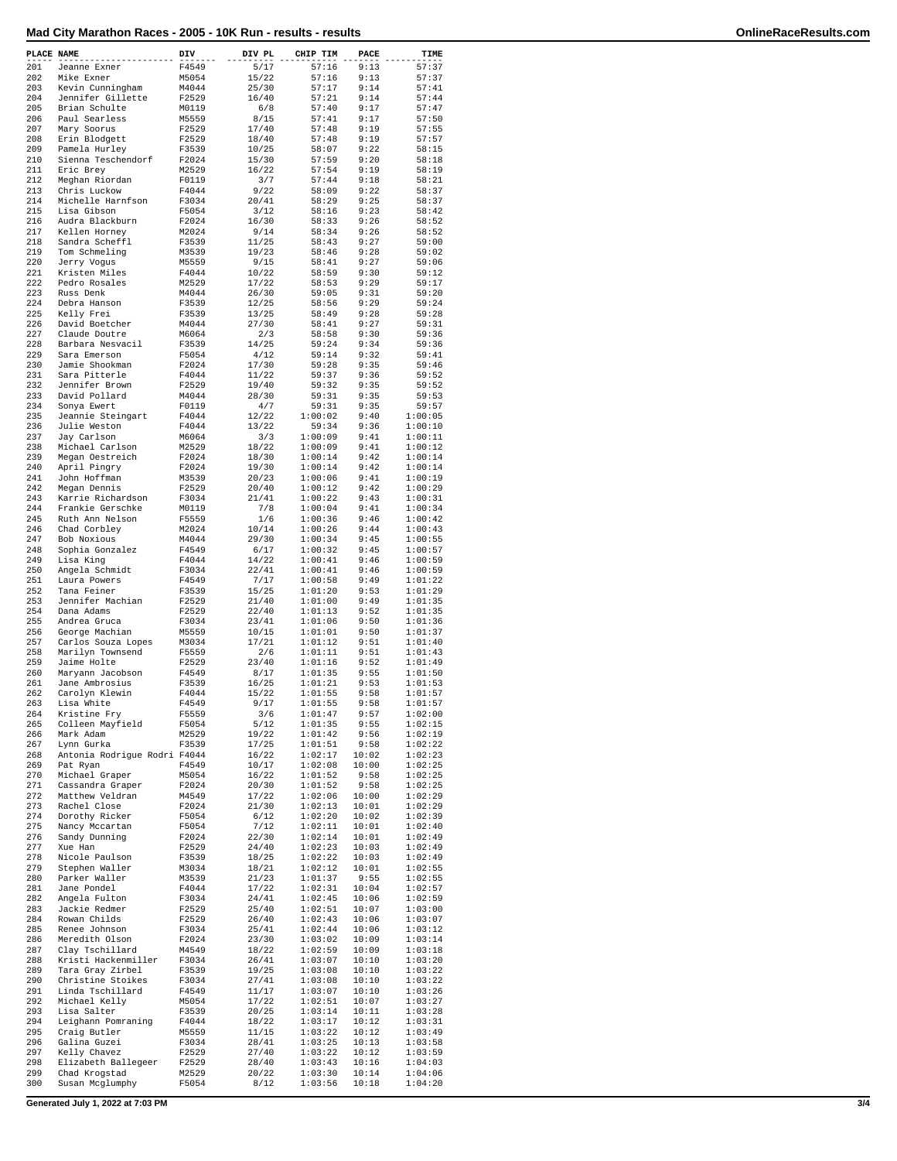| PLACE NAME |                                            | DIV            | DIV PL         | CHIP TIM           | PACE           | TIME               |
|------------|--------------------------------------------|----------------|----------------|--------------------|----------------|--------------------|
| 201        | Jeanne Exner                               | F4549          | 5/17           | 57:16              | 9:13           | 57:37              |
| 202        | Mike Exner                                 | M5054          | 15/22          | 57:16              | 9:13           | 57:37              |
| 203<br>204 | Kevin Cunningham<br>Jennifer Gillette      | M4044<br>F2529 | 25/30<br>16/40 | 57:17<br>57:21     | 9:14<br>9:14   | 57:41<br>57:44     |
| 205        | Brian Schulte                              | M0119          | 6/8            | 57:40              | 9:17           | 57:47              |
| 206        | Paul Searless                              | M5559          | 8/15           | 57:41              | 9:17           | 57:50              |
| 207<br>208 | Mary Soorus<br>Erin Blodgett               | F2529<br>F2529 | 17/40<br>18/40 | 57:48<br>57:48     | 9:19<br>9:19   | 57:55<br>57:57     |
| 209        | Pamela Hurley                              | F3539          | 10/25          | 58:07              | 9:22           | 58:15              |
| 210        | Sienna Teschendorf                         | F2024          | 15/30          | 57:59              | 9:20           | 58:18              |
| 211<br>212 | Eric Brey<br>Meghan Riordan                | M2529<br>F0119 | 16/22<br>3/7   | 57:54<br>57:44     | 9:19<br>9:18   | 58:19<br>58:21     |
| 213        | Chris Luckow                               | F4044          | 9/22           | 58:09              | 9:22           | 58:37              |
| 214        | Michelle Harnfson                          | F3034          | 20/41          | 58:29              | 9:25           | 58:37              |
| 215        | Lisa Gibson                                | F5054          | 3/12           | 58:16              | 9:23           | 58:42              |
| 216<br>217 | Audra Blackburn<br>Kellen Horney           | F2024<br>M2024 | 16/30<br>9/14  | 58:33<br>58:34     | 9:26<br>9:26   | 58:52<br>58:52     |
| 218        | Sandra Scheffl                             | F3539          | 11/25          | 58:43              | 9:27           | 59:00              |
| 219        | Tom Schmeling                              | M3539          | 19/23          | 58:46              | 9:28           | 59:02              |
| 220<br>221 | Jerry Vogus<br>Kristen Miles               | M5559<br>F4044 | 9/15<br>10/22  | 58:41<br>58:59     | 9:27<br>9:30   | 59:06<br>59:12     |
| 222        | Pedro Rosales                              | M2529          | 17/22          | 58:53              | 9:29           | 59:17              |
| 223        | Russ Denk                                  | M4044          | 26/30          | 59:05              | 9:31           | 59:20              |
| 224<br>225 | Debra Hanson<br>Kelly Frei                 | F3539<br>F3539 | 12/25<br>13/25 | 58:56<br>58:49     | 9:29<br>9:28   | 59:24<br>59:28     |
| 226        | David Boetcher                             | M4044          | 27/30          | 58:41              | 9:27           | 59:31              |
| 227        | Claude Doutre                              | M6064          | 2/3            | 58:58              | 9:30           | 59:36              |
| 228<br>229 | Barbara Nesvacil<br>Sara Emerson           | F3539<br>F5054 | 14/25<br>4/12  | 59:24<br>59:14     | 9:34<br>9:32   | 59:36<br>59:41     |
| 230        | Jamie Shookman                             | F2024          | 17/30          | 59:28              | 9:35           | 59:46              |
| 231        | Sara Pitterle                              | F4044          | 11/22          | 59:37              | 9:36           | 59:52              |
| 232        | Jennifer Brown                             | F2529          | 19/40          | 59:32              | 9:35           | 59:52              |
| 233<br>234 | David Pollard<br>Sonya Ewert               | M4044<br>F0119 | 28/30<br>4/7   | 59:31<br>59:31     | 9:35<br>9:35   | 59:53<br>59:57     |
| 235        | Jeannie Steingart                          | F4044          | 12/22          | 1:00:02            | 9:40           | 1:00:05            |
| 236        | Julie Weston                               | F4044          | 13/22          | 59:34              | 9:36           | 1:00:10            |
| 237<br>238 | Jay Carlson<br>Michael Carlson             | M6064<br>M2529 | 3/3<br>18/22   | 1:00:09<br>1:00:09 | 9:41<br>9:41   | 1:00:11<br>1:00:12 |
| 239        | Megan Oestreich                            | F2024          | 18/30          | 1:00:14            | 9:42           | 1:00:14            |
| 240        | April Pingry                               | F2024          | 19/30          | 1:00:14            | 9:42           | 1:00:14            |
| 241<br>242 | John Hoffman<br>Megan Dennis               | M3539<br>F2529 | 20/23<br>20/40 | 1:00:06<br>1:00:12 | 9:41<br>9:42   | 1:00:19<br>1:00:29 |
| 243        | Karrie Richardson                          | F3034          | 21/41          | 1:00:22            | 9:43           | 1:00:31            |
| 244        | Frankie Gerschke                           | M0119          | 7/8            | 1:00:04            | 9:41           | 1:00:34            |
| 245        | Ruth Ann Nelson                            | F5559          | 1/6            | 1:00:36            | 9:46           | 1:00:42            |
| 246<br>247 | Chad Corbley<br>Bob Noxious                | M2024<br>M4044 | 10/14<br>29/30 | 1:00:26<br>1:00:34 | 9:44<br>9:45   | 1:00:43<br>1:00:55 |
| 248        | Sophia Gonzalez                            | F4549          | 6/17           | 1:00:32            | 9:45           | 1:00:57            |
| 249        | Lisa King                                  | F4044          | 14/22          | 1:00:41            | 9:46           | 1:00:59            |
| 250<br>251 | Angela Schmidt<br>Laura Powers             | F3034<br>F4549 | 22/41<br>7/17  | 1:00:41<br>1:00:58 | 9:46<br>9:49   | 1:00:59<br>1:01:22 |
| 252        | Tana Feiner                                | F3539          | 15/25          | 1:01:20            | 9:53           | 1:01:29            |
| 253        | Jennifer Machian                           | F2529          | 21/40          | 1:01:00            | 9:49           | 1:01:35            |
| 254<br>255 | Dana Adams<br>Andrea Gruca                 | F2529<br>F3034 | 22/40<br>23/41 | 1:01:13<br>1:01:06 | 9:52<br>9:50   | 1:01:35<br>1:01:36 |
| 256        | George Machian                             | M5559          | 10/15          | 1:01:01            | 9:50           | 1:01:37            |
| 257        | Carlos Souza Lopes                         | M3034          | 17/21          | 1:01:12            | 9:51           | 1:01:40            |
| 258<br>259 | Marilyn Townsend<br>Jaime Holte            | F5559<br>F2529 | 2/6<br>23/40   | 1:01:11<br>1:01:16 | 9:51<br>9:52   | 1:01:43<br>1:01:49 |
| 260        | Maryann Jacobson                           | F4549          | 8/17           | 1:01:35            | 9:55           | 1:01:50            |
| 261        | Jane Ambrosius                             | F3539          | 16/25          | 1:01:21            | 9:53           | 1:01:53            |
| 262        | Carolyn Klewin                             | F4044          | 15/22          | 1:01:55<br>1:01:55 | 9:58<br>9:58   | 1:01:57<br>1:01:57 |
| 263<br>264 | Lisa White<br>Kristine Fry                 | F4549<br>F5559 | 9/17<br>3/6    | 1:01:47            | 9:57           | 1:02:00            |
| 265        | Colleen Mayfield                           | F5054          | 5/12           | 1:01:35            | 9:55           | 1:02:15            |
| 266        | Mark Adam                                  | M2529          | 19/22          | 1:01:42            | 9:56           | 1:02:19            |
| 267<br>268 | Lynn Gurka<br>Antonia Rodrigue Rodri F4044 | F3539          | 17/25<br>16/22 | 1:01:51<br>1:02:17 | 9:58<br>10:02  | 1:02:22<br>1:02:23 |
| 269        | Pat Ryan                                   | F4549          | 10/17          | 1:02:08            | 10:00          | 1:02:25            |
| 270        | Michael Graper                             | M5054          | 16/22          | 1:01:52            | 9:58           | 1:02:25            |
| 271<br>272 | Cassandra Graper<br>Matthew Veldran        | F2024<br>M4549 | 20/30<br>17/22 | 1:01:52<br>1:02:06 | 9:58<br>10:00  | 1:02:25<br>1:02:29 |
| 273        | Rachel Close                               | F2024          | 21/30          | 1:02:13            | 10:01          | 1:02:29            |
| 274        | Dorothy Ricker                             | F5054          | 6/12           | 1:02:20            | 10:02          | 1:02:39            |
| 275<br>276 | Nancy Mccartan<br>Sandy Dunning            | F5054<br>F2024 | 7/12<br>22/30  | 1:02:11<br>1:02:14 | 10:01<br>10:01 | 1:02:40<br>1:02:49 |
| 277        | Xue Han                                    | F2529          | 24/40          | 1:02:23            | 10:03          | 1:02:49            |
| 278        | Nicole Paulson                             | F3539          | 18/25          | 1:02:22            | 10:03          | 1:02:49            |
| 279        | Stephen Waller                             | M3034          | 18/21          | 1:02:12            | 10:01          | 1:02:55            |
| 280<br>281 | Parker Waller<br>Jane Pondel               | M3539<br>F4044 | 21/23<br>17/22 | 1:01:37<br>1:02:31 | 9:55<br>10:04  | 1:02:55<br>1:02:57 |
| 282        | Angela Fulton                              | F3034          | 24/41          | 1:02:45            | 10:06          | 1:02:59            |
| 283        | Jackie Redmer                              | F2529          | 25/40          | 1:02:51            | 10:07          | 1:03:00            |
| 284<br>285 | Rowan Childs<br>Renee Johnson              | F2529<br>F3034 | 26/40<br>25/41 | 1:02:43<br>1:02:44 | 10:06<br>10:06 | 1:03:07<br>1:03:12 |
| 286        | Meredith Olson                             | F2024          | 23/30          | 1:03:02            | 10:09          | 1:03:14            |
| 287        | Clay Tschillard                            | M4549          | 18/22          | 1:02:59            | 10:09          | 1:03:18            |
| 288<br>289 | Kristi Hackenmiller<br>Tara Gray Zirbel    | F3034<br>F3539 | 26/41<br>19/25 | 1:03:07<br>1:03:08 | 10:10<br>10:10 | 1:03:20<br>1:03:22 |
| 290        | Christine Stoikes                          | F3034          | 27/41          | 1:03:08            | 10:10          | 1:03:22            |
| 291        | Linda Tschillard                           | F4549          | 11/17          | 1:03:07            | 10:10          | 1:03:26            |
| 292        | Michael Kelly                              | M5054          | 17/22          | 1:02:51            | 10:07          | 1:03:27            |
| 293<br>294 | Lisa Salter<br>Leighann Pomraning          | F3539<br>F4044 | 20/25<br>18/22 | 1:03:14<br>1:03:17 | 10:11<br>10:12 | 1:03:28<br>1:03:31 |
| 295        | Craig Butler                               | M5559          | 11/15          | 1:03:22            | 10:12          | 1:03:49            |
| 296        | Galina Guzei                               | F3034          | 28/41          | 1:03:25            | 10:13          | 1:03:58            |
| 297<br>298 | Kelly Chavez<br>Elizabeth Ballegeer        | F2529<br>F2529 | 27/40<br>28/40 | 1:03:22<br>1:03:43 | 10:12<br>10:16 | 1:03:59<br>1:04:03 |
| 299        | Chad Krogstad                              | M2529          | 20/22          | 1:03:30            | 10:14          | 1:04:06            |
| 300        | Susan Mcglumphy                            | F5054          | 8/12           | 1:03:56            | 10:18          | 1:04:20            |

**Generated July 1, 2022 at 7:03 PM 3/4**